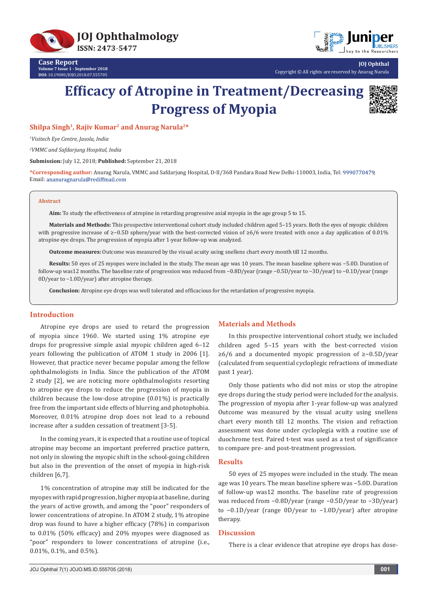



Copyright © All rights are reserved by Anurag Narula

# **Efficacy of Atropine in Treatment/Decreasing Progress of Myopia**



**JOJ Ophthal**

**Shilpa Singh<sup>1</sup>, Rajiv Kumar<sup>2</sup> and Anurag Narula2\***

*1 Visitech Eye Centre, Jasola, India*

*2 VMMC and Safdarjung Hospital, India*

**Submission:** July 12, 2018; **Published:** September 21, 2018

**\*Corresponding author:** Anurag Narula, VMMC and Safdarjung Hospital, D-II/368 Pandara Road New Delhi-110003, India, Tel: ; Email: ananuragnarula@rediffmail.com

#### **Abstract**

**Aim:** To study the effectiveness of atropine in retarding progressive axial myopia in the age group 5 to 15.

**Materials and Methods:** This prospective interventional cohort study included children aged 5–15 years. Both the eyes of myopic children with progressive increase of ≥−0.5D sphere/year with the best-corrected vision of ≥6/6 were treated with once a day application of 0.01% atropine eye drops. The progression of myopia after 1-year follow-up was analyzed.

**Outcome measures:** Outcome was measured by the visual acuity using snellens chart every month till 12 months.

**Results:** 50 eyes of 25 myopes were included in the study. The mean age was 10 years. The mean baseline sphere was −5.0D. Duration of follow-up was12 months. The baseline rate of progression was reduced from −0.8D/year (range −0.5D/year to −3D/year) to −0.1D/year (range 0D/year to −1.0D/year) after atropine therapy.

**Conclusion:** Atropine eye drops was well tolerated and efficacious for the retardation of progressive myopia.

## **Introduction**

Atropine eye drops are used to retard the progression of myopia since 1960. We started using 1% atropine eye drops for progressive simple axial myopic children aged 6–12 years following the publication of ATOM 1 study in 2006 [1]. However, that practice never became popular among the fellow ophthalmologists in India. Since the publication of the ATOM 2 study [2], we are noticing more ophthalmologists resorting to atropine eye drops to reduce the progression of myopia in children because the low-dose atropine (0.01%) is practically free from the important side effects of blurring and photophobia. Moreover, 0.01% atropine drop does not lead to a rebound increase after a sudden cessation of treatment [3-5].

In the coming years, it is expected that a routine use of topical atropine may become an important preferred practice pattern, not only in slowing the myopic shift in the school-going children but also in the prevention of the onset of myopia in high-risk children [6,7].

1% concentration of atropine may still be indicated for the myopes with rapid progression, higher myopia at baseline, during the years of active growth, and among the "poor" responders of lower concentrations of atropine. In ATOM 2 study, 1% atropine drop was found to have a higher efficacy (78%) in comparison to 0.01% (50% efficacy) and 20% myopes were diagnosed as "poor" responders to lower concentrations of atropine (i.e., 0.01%, 0.1%, and 0.5%).

# **Materials and Methods**

In this prospective interventional cohort study, we included children aged 5–15 years with the best-corrected vision ≥6/6 and a documented myopic progression of ≥−0.5D/year (calculated from sequential cycloplegic refractions of immediate past 1 year).

Only those patients who did not miss or stop the atropine eye drops during the study period were included for the analysis. The progression of myopia after 1-year follow-up was analyzed Outcome was measured by the visual acuity using snellens chart every month till 12 months. The vision and refraction assessment was done under cycloplegia with a routine use of duochrome test. Paired t-test was used as a test of significance to compare pre- and post-treatment progression.

## **Results**

50 eyes of 25 myopes were included in the study. The mean age was 10 years. The mean baseline sphere was −5.0D. Duration of follow-up was12 months. The baseline rate of progression was reduced from −0.8D/year (range −0.5D/year to −3D/year) to −0.1D/year (range 0D/year to −1.0D/year) after atropine therapy.

#### **Discussion**

There is a clear evidence that atropine eye drops has dose-